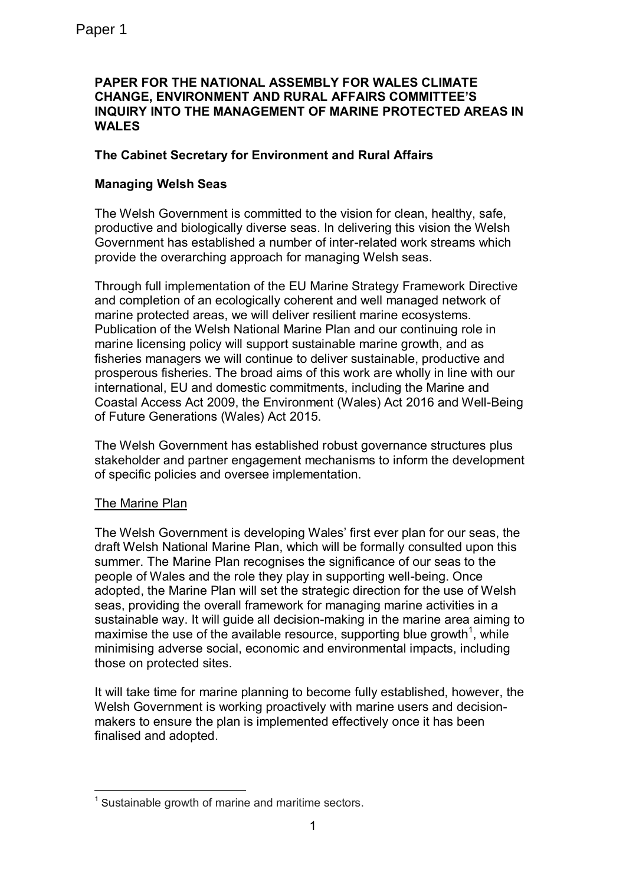## **PAPER FOR THE NATIONAL ASSEMBLY FOR WALES CLIMATE CHANGE, ENVIRONMENT AND RURAL AFFAIRS COMMITTEE'S INQUIRY INTO THE MANAGEMENT OF MARINE PROTECTED AREAS IN WALES**

# **The Cabinet Secretary for Environment and Rural Affairs**

# **Managing Welsh Seas**

The Welsh Government is committed to the vision for clean, healthy, safe, productive and biologically diverse seas. In delivering this vision the Welsh Government has established a number of inter-related work streams which provide the overarching approach for managing Welsh seas.

Through full implementation of the EU Marine Strategy Framework Directive and completion of an ecologically coherent and well managed network of marine protected areas, we will deliver resilient marine ecosystems. Publication of the Welsh National Marine Plan and our continuing role in marine licensing policy will support sustainable marine growth, and as fisheries managers we will continue to deliver sustainable, productive and prosperous fisheries. The broad aims of this work are wholly in line with our international, EU and domestic commitments, including the Marine and Coastal Access Act 2009, the Environment (Wales) Act 2016 and Well-Being of Future Generations (Wales) Act 2015.

The Welsh Government has established robust governance structures plus stakeholder and partner engagement mechanisms to inform the development of specific policies and oversee implementation.

# The Marine Plan

The Welsh Government is developing Wales' first ever plan for our seas, the draft Welsh National Marine Plan, which will be formally consulted upon this summer. The Marine Plan recognises the significance of our seas to the people of Wales and the role they play in supporting well-being. Once adopted, the Marine Plan will set the strategic direction for the use of Welsh seas, providing the overall framework for managing marine activities in a sustainable way. It will guide all decision-making in the marine area aiming to maximise the use of the available resource, supporting blue growth<sup>1</sup>, while minimising adverse social, economic and environmental impacts, including those on protected sites.

It will take time for marine planning to become fully established, however, the Welsh Government is working proactively with marine users and decisionmakers to ensure the plan is implemented effectively once it has been finalised and adopted.

<sup>1</sup> <sup>1</sup> Sustainable growth of marine and maritime sectors.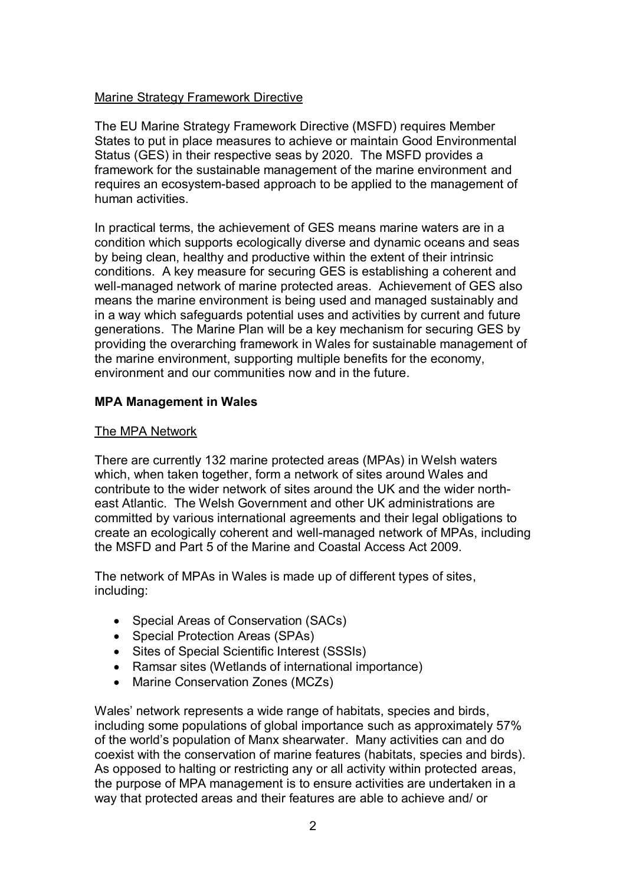## Marine Strategy Framework Directive

The EU Marine Strategy Framework Directive (MSFD) requires Member States to put in place measures to achieve or maintain Good Environmental Status (GES) in their respective seas by 2020. The MSFD provides a framework for the sustainable management of the marine environment and requires an ecosystem-based approach to be applied to the management of human activities.

In practical terms, the achievement of GES means marine waters are in a condition which supports ecologically diverse and dynamic oceans and seas by being clean, healthy and productive within the extent of their intrinsic conditions. A key measure for securing GES is establishing a coherent and well-managed network of marine protected areas. Achievement of GES also means the marine environment is being used and managed sustainably and in a way which safeguards potential uses and activities by current and future generations. The Marine Plan will be a key mechanism for securing GES by providing the overarching framework in Wales for sustainable management of the marine environment, supporting multiple benefits for the economy, environment and our communities now and in the future.

## **MPA Management in Wales**

### The MPA Network

There are currently 132 marine protected areas (MPAs) in Welsh waters which, when taken together, form a network of sites around Wales and contribute to the wider network of sites around the UK and the wider northeast Atlantic. The Welsh Government and other UK administrations are committed by various international agreements and their legal obligations to create an ecologically coherent and well-managed network of MPAs, including the MSFD and Part 5 of the Marine and Coastal Access Act 2009.

The network of MPAs in Wales is made up of different types of sites, including:

- Special Areas of Conservation (SACs)
- Special Protection Areas (SPAs)
- Sites of Special Scientific Interest (SSSIs)
- Ramsar sites (Wetlands of international importance)
- Marine Conservation Zones (MCZs)

Wales' network represents a wide range of habitats, species and birds, including some populations of global importance such as approximately 57% of the world's population of Manx shearwater. Many activities can and do coexist with the conservation of marine features (habitats, species and birds). As opposed to halting or restricting any or all activity within protected areas, the purpose of MPA management is to ensure activities are undertaken in a way that protected areas and their features are able to achieve and/ or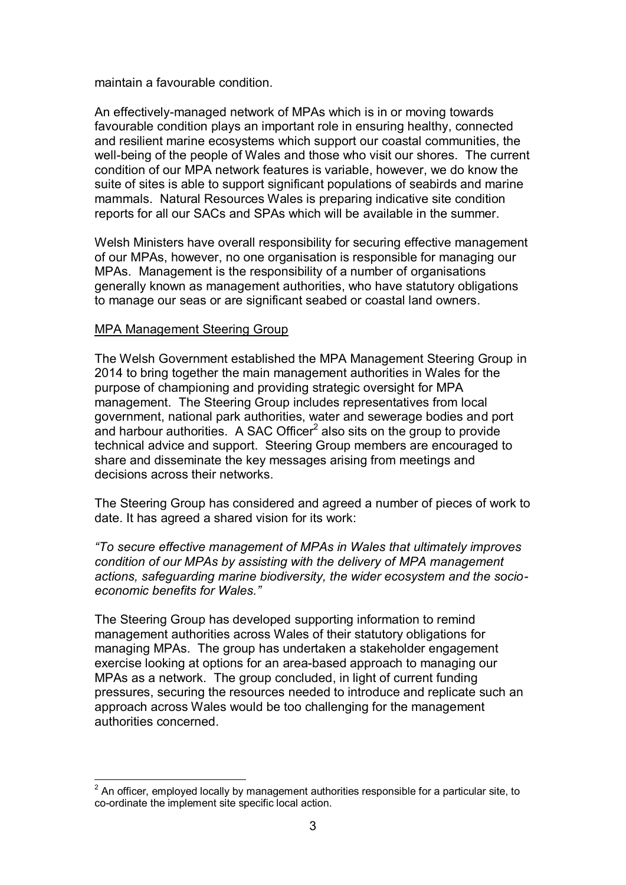maintain a favourable condition.

An effectively-managed network of MPAs which is in or moving towards favourable condition plays an important role in ensuring healthy, connected and resilient marine ecosystems which support our coastal communities, the well-being of the people of Wales and those who visit our shores. The current condition of our MPA network features is variable, however, we do know the suite of sites is able to support significant populations of seabirds and marine mammals. Natural Resources Wales is preparing indicative site condition reports for all our SACs and SPAs which will be available in the summer.

Welsh Ministers have overall responsibility for securing effective management of our MPAs, however, no one organisation is responsible for managing our MPAs. Management is the responsibility of a number of organisations generally known as management authorities, who have statutory obligations to manage our seas or are significant seabed or coastal land owners.

### MPA Management Steering Group

The Welsh Government established the MPA Management Steering Group in 2014 to bring together the main management authorities in Wales for the purpose of championing and providing strategic oversight for MPA management. The Steering Group includes representatives from local government, national park authorities, water and sewerage bodies and port and harbour authorities. A SAC Officer $^2$  also sits on the group to provide technical advice and support. Steering Group members are encouraged to share and disseminate the key messages arising from meetings and decisions across their networks.

The Steering Group has considered and agreed a number of pieces of work to date. It has agreed a shared vision for its work:

*"To secure effective management of MPAs in Wales that ultimately improves condition of our MPAs by assisting with the delivery of MPA management actions, safeguarding marine biodiversity, the wider ecosystem and the socioeconomic benefits for Wales."*

The Steering Group has developed supporting information to remind management authorities across Wales of their statutory obligations for managing MPAs. The group has undertaken a stakeholder engagement exercise looking at options for an area-based approach to managing our MPAs as a network. The group concluded, in light of current funding pressures, securing the resources needed to introduce and replicate such an approach across Wales would be too challenging for the management authorities concerned.

 $\frac{1}{2}$  $2$  An officer, employed locally by management authorities responsible for a particular site, to co-ordinate the implement site specific local action.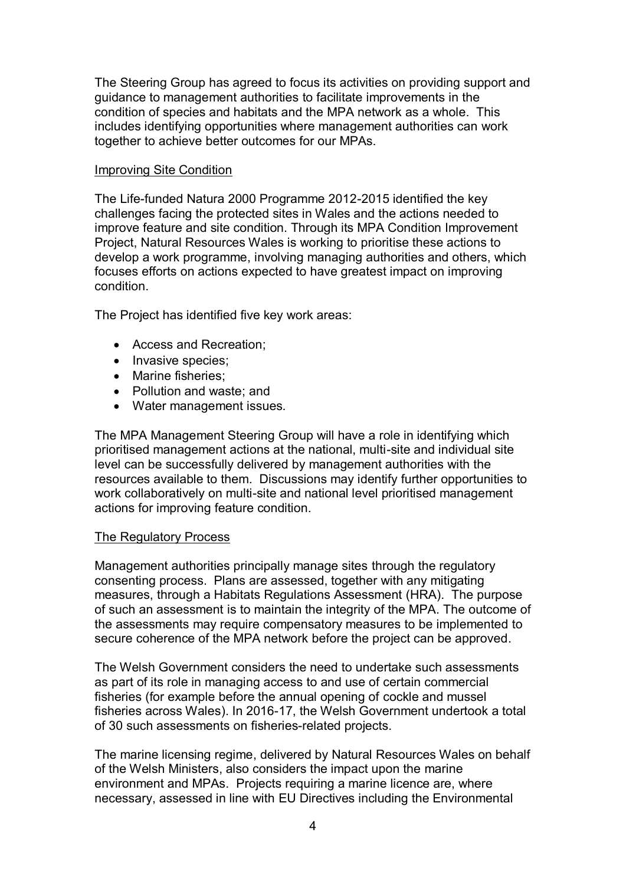The Steering Group has agreed to focus its activities on providing support and guidance to management authorities to facilitate improvements in the condition of species and habitats and the MPA network as a whole. This includes identifying opportunities where management authorities can work together to achieve better outcomes for our MPAs.

## Improving Site Condition

The Life-funded Natura 2000 Programme 2012-2015 identified the key challenges facing the protected sites in Wales and the actions needed to improve feature and site condition. Through its MPA Condition Improvement Project, Natural Resources Wales is working to prioritise these actions to develop a work programme, involving managing authorities and others, which focuses efforts on actions expected to have greatest impact on improving condition.

The Project has identified five key work areas:

- Access and Recreation;
- Invasive species;
- Marine fisheries:
- Pollution and waste; and
- Water management issues.

The MPA Management Steering Group will have a role in identifying which prioritised management actions at the national, multi-site and individual site level can be successfully delivered by management authorities with the resources available to them. Discussions may identify further opportunities to work collaboratively on multi-site and national level prioritised management actions for improving feature condition.

# The Regulatory Process

Management authorities principally manage sites through the regulatory consenting process. Plans are assessed, together with any mitigating measures, through a Habitats Regulations Assessment (HRA). The purpose of such an assessment is to maintain the integrity of the MPA. The outcome of the assessments may require compensatory measures to be implemented to secure coherence of the MPA network before the project can be approved.

The Welsh Government considers the need to undertake such assessments as part of its role in managing access to and use of certain commercial fisheries (for example before the annual opening of cockle and mussel fisheries across Wales). In 2016-17, the Welsh Government undertook a total of 30 such assessments on fisheries-related projects.

The marine licensing regime, delivered by Natural Resources Wales on behalf of the Welsh Ministers, also considers the impact upon the marine environment and MPAs. Projects requiring a marine licence are, where necessary, assessed in line with EU Directives including the Environmental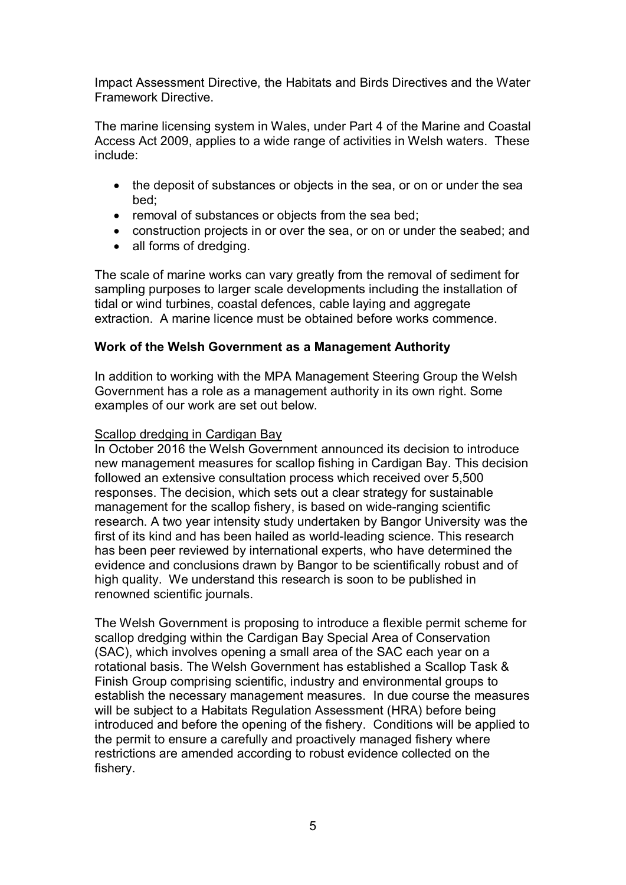Impact Assessment Directive, the Habitats and Birds Directives and the Water Framework Directive.

The marine licensing system in Wales, under Part 4 of the Marine and Coastal Access Act 2009, applies to a wide range of activities in Welsh waters. These include:

- the deposit of substances or objects in the sea, or on or under the sea bed;
- removal of substances or objects from the sea bed;
- construction projects in or over the sea, or on or under the seabed; and
- all forms of dredging.

The scale of marine works can vary greatly from the removal of sediment for sampling purposes to larger scale developments including the installation of tidal or wind turbines, coastal defences, cable laying and aggregate extraction. A marine licence must be obtained before works commence.

### **Work of the Welsh Government as a Management Authority**

In addition to working with the MPA Management Steering Group the Welsh Government has a role as a management authority in its own right. Some examples of our work are set out below.

#### Scallop dredging in Cardigan Bay

In October 2016 the Welsh Government announced its decision to introduce new management measures for scallop fishing in Cardigan Bay. This decision followed an extensive consultation process which received over 5,500 responses. The decision, which sets out a clear strategy for sustainable management for the scallop fishery, is based on wide-ranging scientific research. A two year intensity study undertaken by Bangor University was the first of its kind and has been hailed as world-leading science. This research has been peer reviewed by international experts, who have determined the evidence and conclusions drawn by Bangor to be scientifically robust and of high quality. We understand this research is soon to be published in renowned scientific journals.

The Welsh Government is proposing to introduce a flexible permit scheme for scallop dredging within the Cardigan Bay Special Area of Conservation (SAC), which involves opening a small area of the SAC each year on a rotational basis. The Welsh Government has established a Scallop Task & Finish Group comprising scientific, industry and environmental groups to establish the necessary management measures. In due course the measures will be subject to a Habitats Regulation Assessment (HRA) before being introduced and before the opening of the fishery. Conditions will be applied to the permit to ensure a carefully and proactively managed fishery where restrictions are amended according to robust evidence collected on the fishery.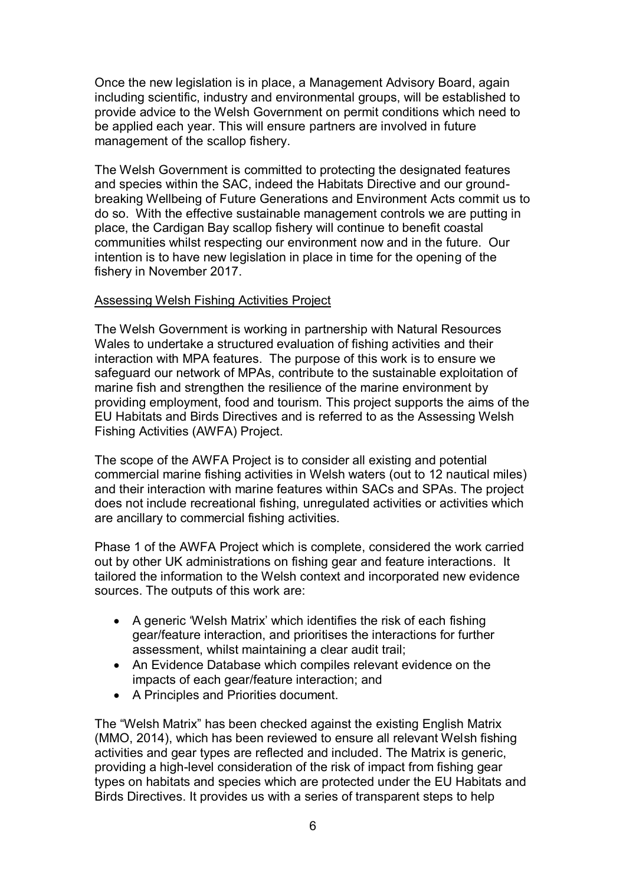Once the new legislation is in place, a Management Advisory Board, again including scientific, industry and environmental groups, will be established to provide advice to the Welsh Government on permit conditions which need to be applied each year. This will ensure partners are involved in future management of the scallop fishery.

The Welsh Government is committed to protecting the designated features and species within the SAC, indeed the Habitats Directive and our groundbreaking Wellbeing of Future Generations and Environment Acts commit us to do so. With the effective sustainable management controls we are putting in place, the Cardigan Bay scallop fishery will continue to benefit coastal communities whilst respecting our environment now and in the future. Our intention is to have new legislation in place in time for the opening of the fishery in November 2017.

### Assessing Welsh Fishing Activities Project

The Welsh Government is working in partnership with Natural Resources Wales to undertake a structured evaluation of fishing activities and their interaction with MPA features. The purpose of this work is to ensure we safeguard our network of MPAs, contribute to the sustainable exploitation of marine fish and strengthen the resilience of the marine environment by providing employment, food and tourism. This project supports the aims of the EU Habitats and Birds Directives and is referred to as the Assessing Welsh Fishing Activities (AWFA) Project.

The scope of the AWFA Project is to consider all existing and potential commercial marine fishing activities in Welsh waters (out to 12 nautical miles) and their interaction with marine features within SACs and SPAs. The project does not include recreational fishing, unregulated activities or activities which are ancillary to commercial fishing activities.

Phase 1 of the AWFA Project which is complete, considered the work carried out by other UK administrations on fishing gear and feature interactions. It tailored the information to the Welsh context and incorporated new evidence sources. The outputs of this work are:

- A generic 'Welsh Matrix' which identifies the risk of each fishing gear/feature interaction, and prioritises the interactions for further assessment, whilst maintaining a clear audit trail;
- An Evidence Database which compiles relevant evidence on the impacts of each gear/feature interaction; and
- A Principles and Priorities document.

The "Welsh Matrix" has been checked against the existing English Matrix (MMO, 2014), which has been reviewed to ensure all relevant Welsh fishing activities and gear types are reflected and included. The Matrix is generic, providing a high-level consideration of the risk of impact from fishing gear types on habitats and species which are protected under the EU Habitats and Birds Directives. It provides us with a series of transparent steps to help